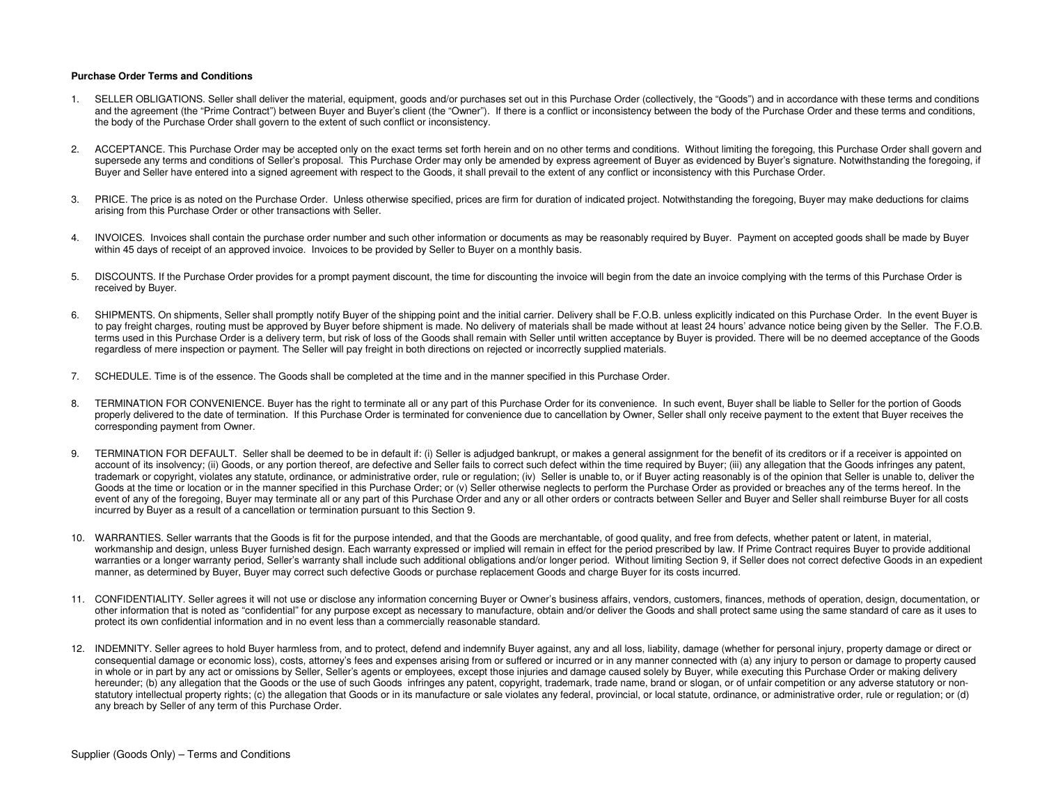## **Purchase Order Terms and Conditions**

- 1. SELLER OBLIGATIONS. Seller shall deliver the material, equipment, goods and/or purchases set out in this Purchase Order (collectively, the "Goods") and in accordance with these terms and conditions and the agreement (the "Prime Contract") between Buyer and Buyer's client (the "Owner"). If there is a conflict or inconsistency between the body of the Purchase Order and these terms and conditions, the body of the Purchase Order shall govern to the extent of such conflict or inconsistency.
- 2. ACCEPTANCE. This Purchase Order may be accepted only on the exact terms set forth herein and on no other terms and conditions. Without limiting the foregoing, this Purchase Order shall govern and supersede any terms and conditions of Seller's proposal. This Purchase Order may only be amended by express agreement of Buyer as evidenced by Buyer's signature. Notwithstanding the foregoing, if Buyer and Seller have entered into a signed agreement with respect to the Goods, it shall prevail to the extent of any conflict or inconsistency with this Purchase Order.
- PRICE. The price is as noted on the Purchase Order. Unless otherwise specified, prices are firm for duration of indicated project. Notwithstanding the foregoing, Buyer may make deductions for claims arising from this Purchase Order or other transactions with Seller.
- 4. INVOICES. Invoices shall contain the purchase order number and such other information or documents as may be reasonably required by Buyer. Payment on accepted goods shall be made by Buyer within 45 days of receipt of an approved invoice. Invoices to be provided by Seller to Buyer on a monthly basis.
- 5. DISCOUNTS. If the Purchase Order provides for a prompt payment discount, the time for discounting the invoice will begin from the date an invoice complying with the terms of this Purchase Order is received by Buyer.
- 6. SHIPMENTS. On shipments, Seller shall promptly notify Buyer of the shipping point and the initial carrier. Delivery shall be F.O.B. unless explicitly indicated on this Purchase Order. In the event Buyer is to pay freight charges, routing must be approved by Buyer before shipment is made. No delivery of materials shall be made without at least 24 hours' advance notice being given by the Seller. The F.O.B. terms used in this Purchase Order is a delivery term, but risk of loss of the Goods shall remain with Seller until written acceptance by Buyer is provided. There will be no deemed acceptance of the Goods regardless of mere inspection or payment. The Seller will pay freight in both directions on rejected or incorrectly supplied materials.
- 7. SCHEDULE. Time is of the essence. The Goods shall be completed at the time and in the manner specified in this Purchase Order.
- 8. TERMINATION FOR CONVENIENCE. Buyer has the right to terminate all or any part of this Purchase Order for its convenience. In such event, Buyer shall be liable to Seller for the portion of Goods properly delivered to the date of termination. If this Purchase Order is terminated for convenience due to cancellation by Owner, Seller shall only receive payment to the extent that Buyer receives the corresponding payment from Owner.
- 9. TERMINATION FOR DEFAULT. Seller shall be deemed to be in default if: (i) Seller is adjudged bankrupt, or makes a general assignment for the benefit of its creditors or if a receiver is appointed on account of its insolvency; (ii) Goods, or any portion thereof, are defective and Seller fails to correct such defect within the time required by Buyer; (iii) any allegation that the Goods infringes any patent, trademark or copyright, violates any statute, ordinance, or administrative order, rule or regulation; (iv) Seller is unable to, or if Buyer acting reasonably is of the opinion that Seller is unable to, deliver the Goods at the time or location or in the manner specified in this Purchase Order; or (v) Seller otherwise neglects to perform the Purchase Order as provided or breaches any of the terms hereof. In the event of any of the foregoing, Buyer may terminate all or any part of this Purchase Order and any or all other orders or contracts between Seller and Buyer and Seller shall reimburse Buyer for all costs incurred by Buyer as a result of a cancellation or termination pursuant to this Section 9.
- 10. WARRANTIES. Seller warrants that the Goods is fit for the purpose intended, and that the Goods are merchantable, of good quality, and free from defects, whether patent or latent, in material, workmanship and design, unless Buyer furnished design. Each warranty expressed or implied will remain in effect for the period prescribed by law. If Prime Contract requires Buyer to provide additional warranties or a longer warranty period, Seller's warranty shall include such additional obligations and/or longer period. Without limiting Section 9, if Seller does not correct defective Goods in an expedient manner, as determined by Buyer, Buyer may correct such defective Goods or purchase replacement Goods and charge Buyer for its costs incurred.
- 11. CONFIDENTIALITY. Seller agrees it will not use or disclose any information concerning Buyer or Owner's business affairs, vendors, customers, finances, methods of operation, design, documentation, or other information that is noted as "confidential" for any purpose except as necessary to manufacture, obtain and/or deliver the Goods and shall protect same using the same standard of care as it uses to protect its own confidential information and in no event less than a commercially reasonable standard.
- 12. INDEMNITY. Seller agrees to hold Buyer harmless from, and to protect, defend and indemnify Buyer against, any and all loss, liability, damage (whether for personal injury, property damage or direct or consequential damage or economic loss), costs, attorney's fees and expenses arising from or suffered or incurred or in any manner connected with (a) any injury to person or damage to property caused in whole or in part by any act or omissions by Seller, Seller's agents or employees, except those injuries and damage caused solely by Buyer, while executing this Purchase Order or making delivery hereunder; (b) any allegation that the Goods or the use of such Goods infringes any patent, copyright, trademark, trade name, brand or slogan, or of unfair competition or any adverse statutory or nonstatutory intellectual property rights; (c) the allegation that Goods or in its manufacture or sale violates any federal, provincial, or local statute, ordinance, or administrative order, rule or regulation; or (d) any breach by Seller of any term of this Purchase Order.